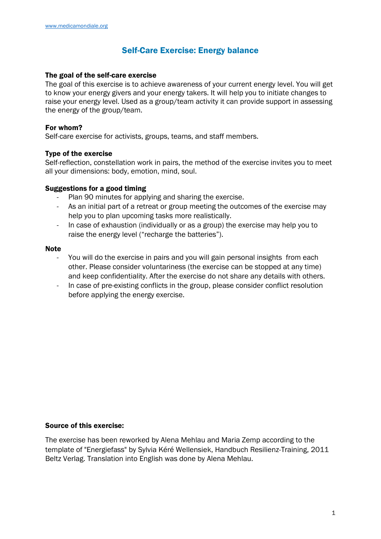### Self-Care Exercise: Energy balance

#### The goal of the self-care exercise

The goal of this exercise is to achieve awareness of your current energy level. You will get to know your energy givers and your energy takers. It will help you to initiate changes to raise your energy level. Used as a group/team activity it can provide support in assessing the energy of the group/team.

#### For whom?

Self-care exercise for activists, groups, teams, and staff members.

#### Type of the exercise

Self-reflection, constellation work in pairs, the method of the exercise invites you to meet all your dimensions: body, emotion, mind, soul.

#### Suggestions for a good timing

- Plan 90 minutes for applying and sharing the exercise.
- As an initial part of a retreat or group meeting the outcomes of the exercise may help you to plan upcoming tasks more realistically.
- In case of exhaustion (individually or as a group) the exercise may help you to raise the energy level ("recharge the batteries").

#### Note

- You will do the exercise in pairs and you will gain personal insights from each other. Please consider voluntariness (the exercise can be stopped at any time) and keep confidentiality. After the exercise do not share any details with others.
- In case of pre-existing conflicts in the group, please consider conflict resolution before applying the energy exercise.

#### Source of this exercise:

The exercise has been reworked by Alena Mehlau and Maria Zemp according to the template of "Energiefass" by Sylvia Kéré Wellensiek, Handbuch Resilienz-Training, 2011 Beltz Verlag. Translation into English was done by Alena Mehlau.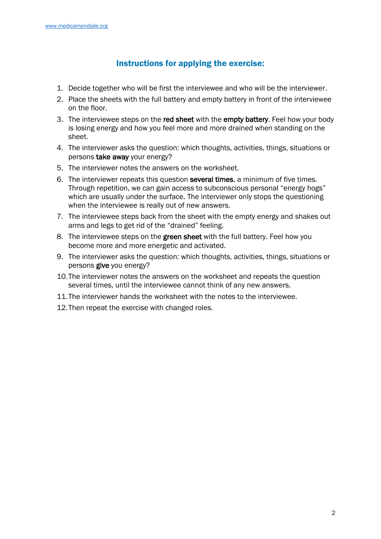## Instructions for applying the exercise:

- 1. Decide together who will be first the interviewee and who will be the interviewer.
- 2. Place the sheets with the full battery and empty battery in front of the interviewee on the floor.
- 3. The interviewee steps on the red sheet with the empty battery. Feel how your body is losing energy and how you feel more and more drained when standing on the sheet.
- 4. The interviewer asks the question: which thoughts, activities, things, situations or persons take away your energy?
- 5. The interviewer notes the answers on the worksheet.
- 6. The interviewer repeats this question several times, a minimum of five times. Through repetition, we can gain access to subconscious personal "energy hogs" which are usually under the surface. The interviewer only stops the questioning when the interviewee is really out of new answers.
- 7. The interviewee steps back from the sheet with the empty energy and shakes out arms and legs to get rid of the "drained" feeling.
- 8. The interviewee steps on the green sheet with the full battery. Feel how you become more and more energetic and activated.
- 9. The interviewer asks the question: which thoughts, activities, things, situations or persons give you energy?
- 10.The interviewer notes the answers on the worksheet and repeats the question several times, until the interviewee cannot think of any new answers.
- 11.The interviewer hands the worksheet with the notes to the interviewee.
- 12.Then repeat the exercise with changed roles.